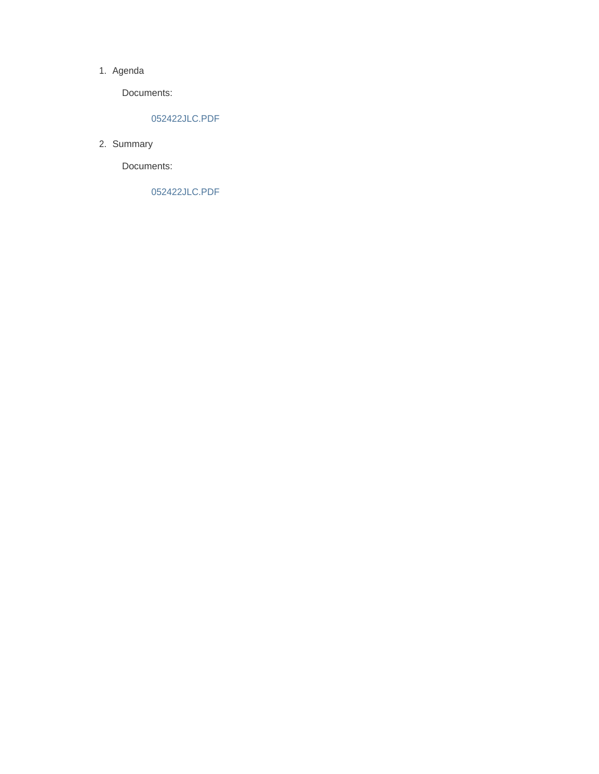#### 1. Agenda

Documents:

### 052422JLC.PDF

2. Summary

Documents:

052422JLC.PDF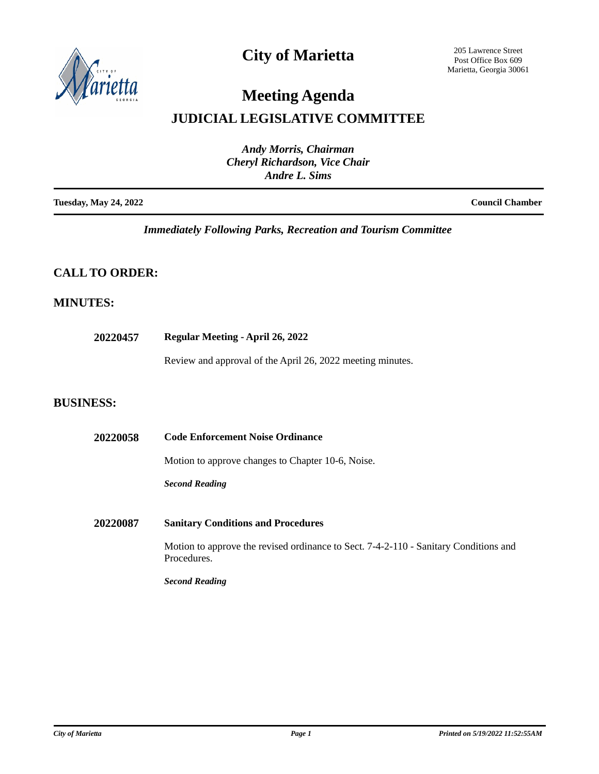

# **City of Marietta**

205 Lawrence Street Post Office Box 609 Marietta, Georgia 30061

# **Meeting Agenda**

# **JUDICIAL LEGISLATIVE COMMITTEE**

| <b>Andy Morris, Chairman</b><br><b>Cheryl Richardson, Vice Chair</b><br>Andre L. Sims |                        |
|---------------------------------------------------------------------------------------|------------------------|
| <b>Tuesday, May 24, 2022</b>                                                          | <b>Council Chamber</b> |

*Immediately Following Parks, Recreation and Tourism Committee*

## **CALL TO ORDER:**

## **MINUTES:**

**20220457 Regular Meeting - April 26, 2022**

Review and approval of the April 26, 2022 meeting minutes.

### **BUSINESS:**

| 20220058 | <b>Code Enforcement Noise Ordinance</b>                                                             |
|----------|-----------------------------------------------------------------------------------------------------|
|          | Motion to approve changes to Chapter 10-6, Noise.                                                   |
|          | <b>Second Reading</b>                                                                               |
| 20220087 | <b>Sanitary Conditions and Procedures</b>                                                           |
|          | Motion to approve the revised ordinance to Sect. 7-4-2-110 - Sanitary Conditions and<br>Procedures. |
|          | <b>Second Reading</b>                                                                               |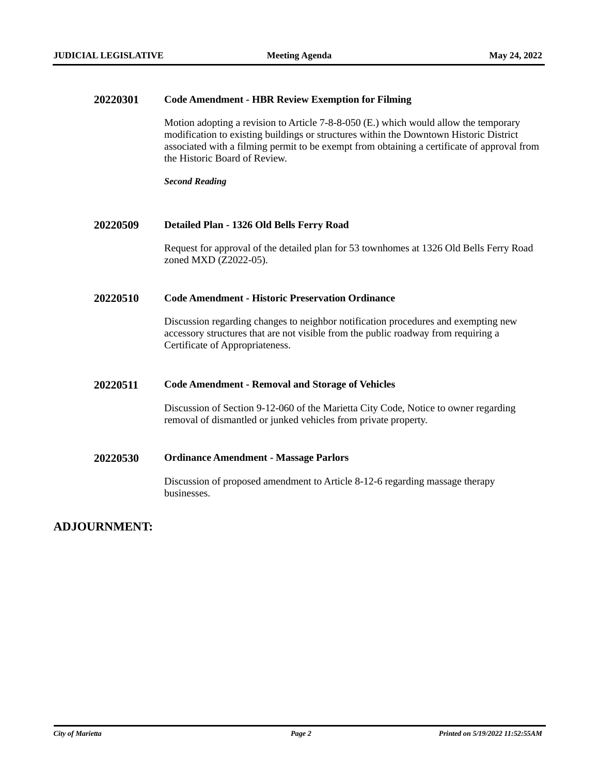**COMMITTEE** 

#### **20220301 Code Amendment - HBR Review Exemption for Filming**

Motion adopting a revision to Article 7-8-8-050 (E.) which would allow the temporary modification to existing buildings or structures within the Downtown Historic District associated with a filming permit to be exempt from obtaining a certificate of approval from the Historic Board of Review.

*Second Reading*

#### **20220509 Detailed Plan - 1326 Old Bells Ferry Road**

Request for approval of the detailed plan for 53 townhomes at 1326 Old Bells Ferry Road zoned MXD (Z2022-05).

#### **20220510 Code Amendment - Historic Preservation Ordinance**

Discussion regarding changes to neighbor notification procedures and exempting new accessory structures that are not visible from the public roadway from requiring a Certificate of Appropriateness.

#### **20220511 Code Amendment - Removal and Storage of Vehicles**

Discussion of Section 9-12-060 of the Marietta City Code, Notice to owner regarding removal of dismantled or junked vehicles from private property.

### **20220530 Ordinance Amendment - Massage Parlors**

Discussion of proposed amendment to Article 8-12-6 regarding massage therapy businesses.

### **ADJOURNMENT:**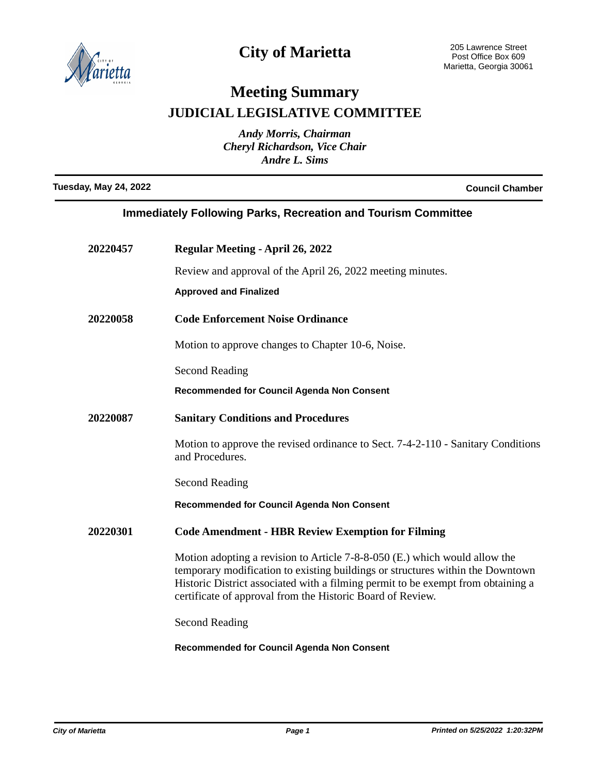

# **City of Marietta**

# **Meeting Summary JUDICIAL LEGISLATIVE COMMITTEE**

*Andy Morris, Chairman Cheryl Richardson, Vice Chair Andre L. Sims*

**Tuesday, May 24, 2022 Council Chamber**

| <b>Immediately Following Parks, Recreation and Tourism Committee</b> |                                                                                                                                                                                                                                                                                                                  |  |
|----------------------------------------------------------------------|------------------------------------------------------------------------------------------------------------------------------------------------------------------------------------------------------------------------------------------------------------------------------------------------------------------|--|
| 20220457                                                             | <b>Regular Meeting - April 26, 2022</b>                                                                                                                                                                                                                                                                          |  |
|                                                                      | Review and approval of the April 26, 2022 meeting minutes.                                                                                                                                                                                                                                                       |  |
|                                                                      | <b>Approved and Finalized</b>                                                                                                                                                                                                                                                                                    |  |
| 20220058                                                             | <b>Code Enforcement Noise Ordinance</b>                                                                                                                                                                                                                                                                          |  |
|                                                                      | Motion to approve changes to Chapter 10-6, Noise.                                                                                                                                                                                                                                                                |  |
|                                                                      | <b>Second Reading</b>                                                                                                                                                                                                                                                                                            |  |
|                                                                      | Recommended for Council Agenda Non Consent                                                                                                                                                                                                                                                                       |  |
| 20220087                                                             | <b>Sanitary Conditions and Procedures</b>                                                                                                                                                                                                                                                                        |  |
|                                                                      | Motion to approve the revised ordinance to Sect. 7-4-2-110 - Sanitary Conditions<br>and Procedures.                                                                                                                                                                                                              |  |
|                                                                      | <b>Second Reading</b>                                                                                                                                                                                                                                                                                            |  |
|                                                                      | <b>Recommended for Council Agenda Non Consent</b>                                                                                                                                                                                                                                                                |  |
| 20220301                                                             | <b>Code Amendment - HBR Review Exemption for Filming</b>                                                                                                                                                                                                                                                         |  |
|                                                                      | Motion adopting a revision to Article $7-8-8-050$ (E.) which would allow the<br>temporary modification to existing buildings or structures within the Downtown<br>Historic District associated with a filming permit to be exempt from obtaining a<br>certificate of approval from the Historic Board of Review. |  |
|                                                                      | <b>Second Reading</b>                                                                                                                                                                                                                                                                                            |  |

**Recommended for Council Agenda Non Consent**